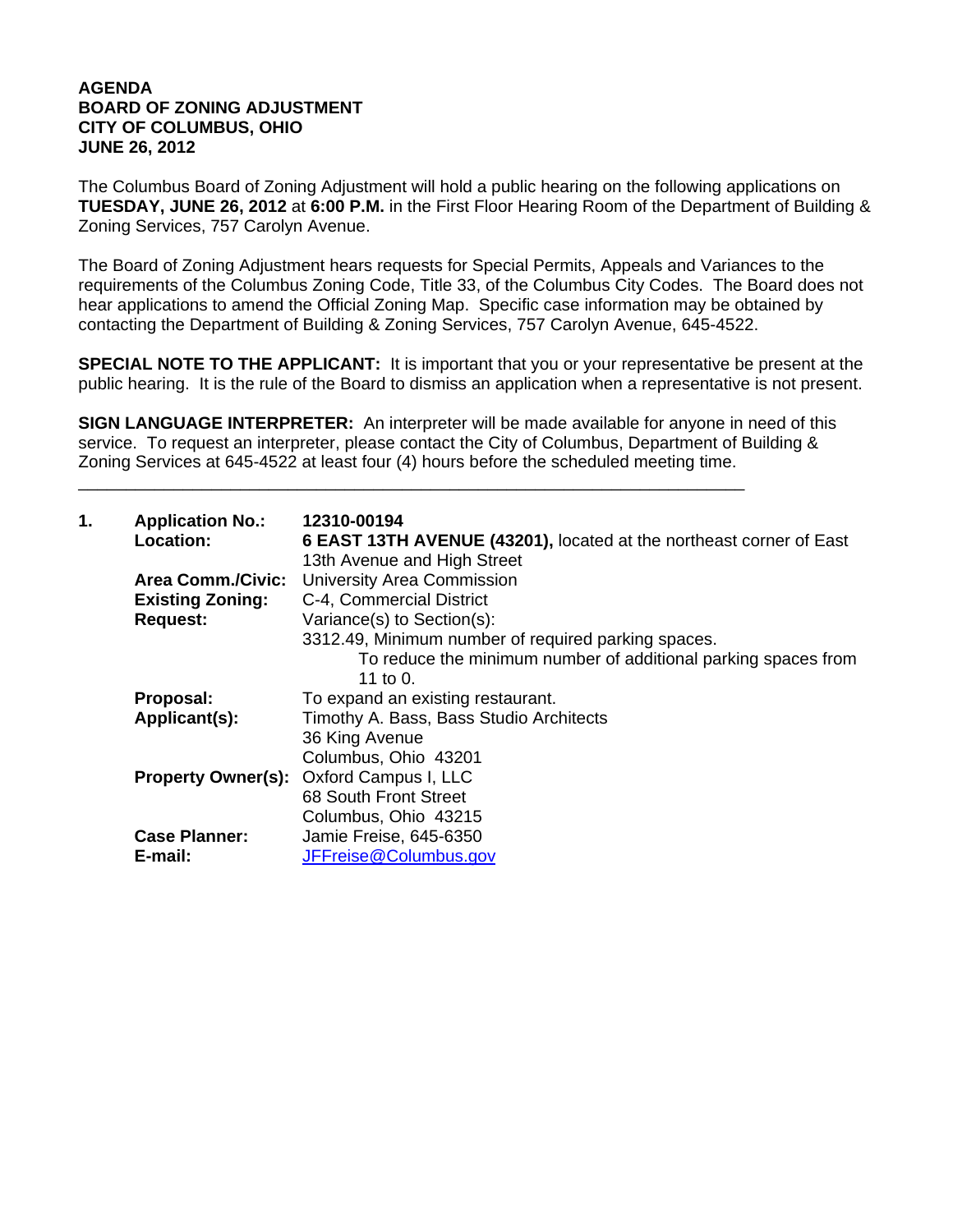## **AGENDA BOARD OF ZONING ADJUSTMENT CITY OF COLUMBUS, OHIO JUNE 26, 2012**

The Columbus Board of Zoning Adjustment will hold a public hearing on the following applications on **TUESDAY, JUNE 26, 2012** at **6:00 P.M.** in the First Floor Hearing Room of the Department of Building & Zoning Services, 757 Carolyn Avenue.

The Board of Zoning Adjustment hears requests for Special Permits, Appeals and Variances to the requirements of the Columbus Zoning Code, Title 33, of the Columbus City Codes. The Board does not hear applications to amend the Official Zoning Map. Specific case information may be obtained by contacting the Department of Building & Zoning Services, 757 Carolyn Avenue, 645-4522.

**SPECIAL NOTE TO THE APPLICANT:** It is important that you or your representative be present at the public hearing. It is the rule of the Board to dismiss an application when a representative is not present.

**SIGN LANGUAGE INTERPRETER:** An interpreter will be made available for anyone in need of this service. To request an interpreter, please contact the City of Columbus, Department of Building & Zoning Services at 645-4522 at least four (4) hours before the scheduled meeting time.

\_\_\_\_\_\_\_\_\_\_\_\_\_\_\_\_\_\_\_\_\_\_\_\_\_\_\_\_\_\_\_\_\_\_\_\_\_\_\_\_\_\_\_\_\_\_\_\_\_\_\_\_\_\_\_\_\_\_\_\_\_\_\_\_\_\_\_\_\_\_

| 1. | <b>Application No.:</b><br>Location: | 12310-00194<br>6 EAST 13TH AVENUE (43201), located at the northeast corner of East<br>13th Avenue and High Street |
|----|--------------------------------------|-------------------------------------------------------------------------------------------------------------------|
|    | <b>Area Comm./Civic:</b>             | <b>University Area Commission</b>                                                                                 |
|    | <b>Existing Zoning:</b>              | C-4, Commercial District                                                                                          |
|    | <b>Request:</b>                      | Variance(s) to Section(s):                                                                                        |
|    |                                      | 3312.49, Minimum number of required parking spaces.                                                               |
|    |                                      | To reduce the minimum number of additional parking spaces from<br>11 to 0.                                        |
|    | Proposal:                            | To expand an existing restaurant.                                                                                 |
|    | Applicant(s):                        | Timothy A. Bass, Bass Studio Architects                                                                           |
|    |                                      | 36 King Avenue                                                                                                    |
|    |                                      | Columbus, Ohio 43201                                                                                              |
|    |                                      | <b>Property Owner(s): Oxford Campus I, LLC</b>                                                                    |
|    |                                      | 68 South Front Street                                                                                             |
|    |                                      | Columbus, Ohio 43215                                                                                              |
|    | <b>Case Planner:</b>                 | Jamie Freise, 645-6350                                                                                            |
|    | E-mail:                              | JFFreise@Columbus.gov                                                                                             |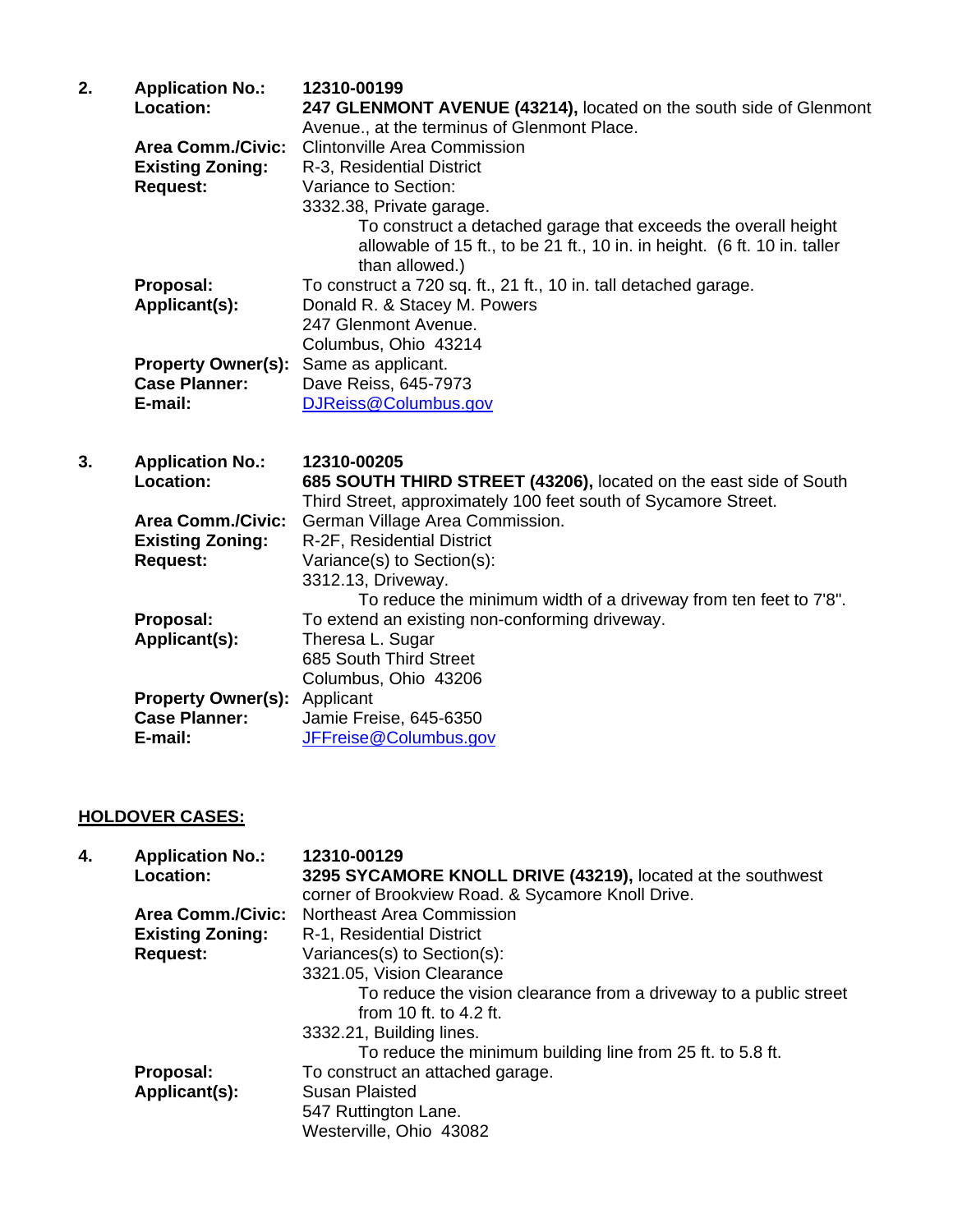| 2. | <b>Application No.:</b><br><b>Location:</b> | 12310-00199<br>247 GLENMONT AVENUE (43214), located on the south side of Glenmont           |
|----|---------------------------------------------|---------------------------------------------------------------------------------------------|
|    | <b>Area Comm./Civic:</b>                    | Avenue., at the terminus of Glenmont Place.<br>Clintonville Area Commission                 |
|    | <b>Existing Zoning:</b>                     | R-3, Residential District                                                                   |
|    | <b>Request:</b>                             | Variance to Section:                                                                        |
|    |                                             | 3332.38, Private garage.                                                                    |
|    |                                             | To construct a detached garage that exceeds the overall height                              |
|    |                                             | allowable of 15 ft., to be 21 ft., 10 in. in height. (6 ft. 10 in. taller<br>than allowed.) |
|    | Proposal:                                   | To construct a 720 sq. ft., 21 ft., 10 in. tall detached garage.                            |
|    | Applicant(s):                               | Donald R. & Stacey M. Powers                                                                |
|    |                                             | 247 Glenmont Avenue.                                                                        |
|    |                                             | Columbus, Ohio 43214                                                                        |
|    | <b>Property Owner(s):</b>                   | Same as applicant.                                                                          |
|    | <b>Case Planner:</b>                        | Dave Reiss, 645-7973                                                                        |
|    | E-mail:                                     | DJReiss@Columbus.gov                                                                        |
|    |                                             |                                                                                             |

**3. Application No.: 12310-00205** 685 SOUTH THIRD STREET (43206), located on the east side of South Third Street, approximately 100 feet south of Sycamore Street.  **Area Comm./Civic:** German Village Area Commission.  **Existing Zoning:** R-2F, Residential District **Request:** Variance(s) to Section(s): 3312.13, Driveway. To reduce the minimum width of a driveway from ten feet to 7'8". **Proposal:** To extend an existing non-conforming driveway. **Applicant(s):** Theresa L. Sugar 685 South Third Street Columbus, Ohio 43206 **Property Owner(s):** Applicant Case Planner: Jamie Fre **Case Planner:** Jamie Freise, 645-6350<br>**E-mail:** JFFreise@Columbus.go **E-mail:** JFFreise@Columbus.gov

## **HOLDOVER CASES:**

| 4. | <b>Application No.:</b><br>Location: | 12310-00129<br>3295 SYCAMORE KNOLL DRIVE (43219), located at the southwest<br>corner of Brookview Road. & Sycamore Knoll Drive. |
|----|--------------------------------------|---------------------------------------------------------------------------------------------------------------------------------|
|    | Area Comm./Civic:                    | Northeast Area Commission                                                                                                       |
|    | <b>Existing Zoning:</b>              | R-1, Residential District                                                                                                       |
|    | <b>Request:</b>                      | Variances(s) to Section(s):                                                                                                     |
|    |                                      | 3321.05, Vision Clearance                                                                                                       |
|    |                                      | To reduce the vision clearance from a driveway to a public street                                                               |
|    |                                      | from 10 ft. to 4.2 ft.                                                                                                          |
|    |                                      | 3332.21, Building lines.                                                                                                        |
|    |                                      | To reduce the minimum building line from 25 ft. to 5.8 ft.                                                                      |
|    | Proposal:                            | To construct an attached garage.                                                                                                |
|    | Applicant(s):                        | <b>Susan Plaisted</b>                                                                                                           |
|    |                                      | 547 Ruttington Lane.                                                                                                            |
|    |                                      | Westerville, Ohio 43082                                                                                                         |